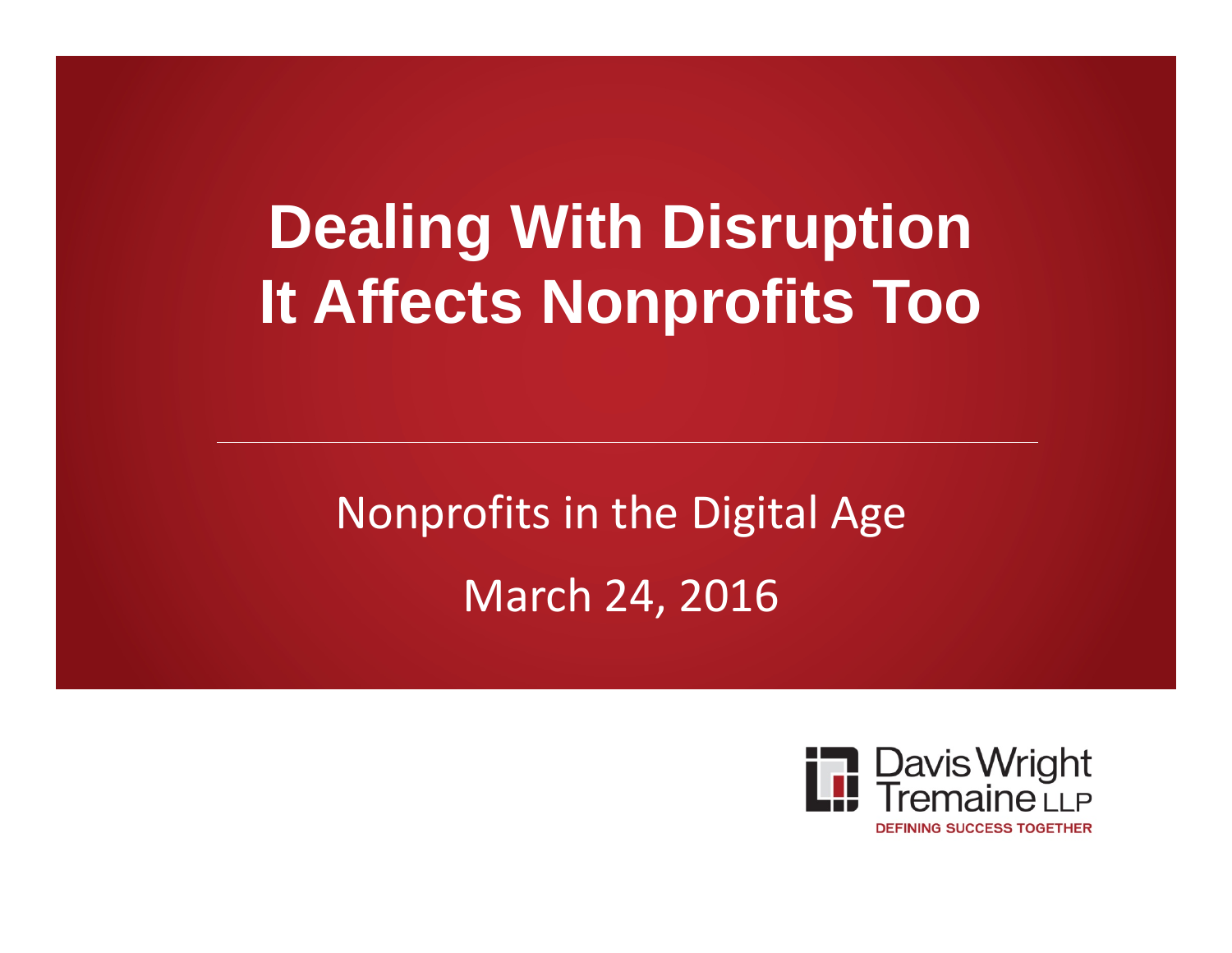## **Dealing With Disruption It Affects Nonprofits Too**

Nonprofits in the Digital Age March 24, 2016

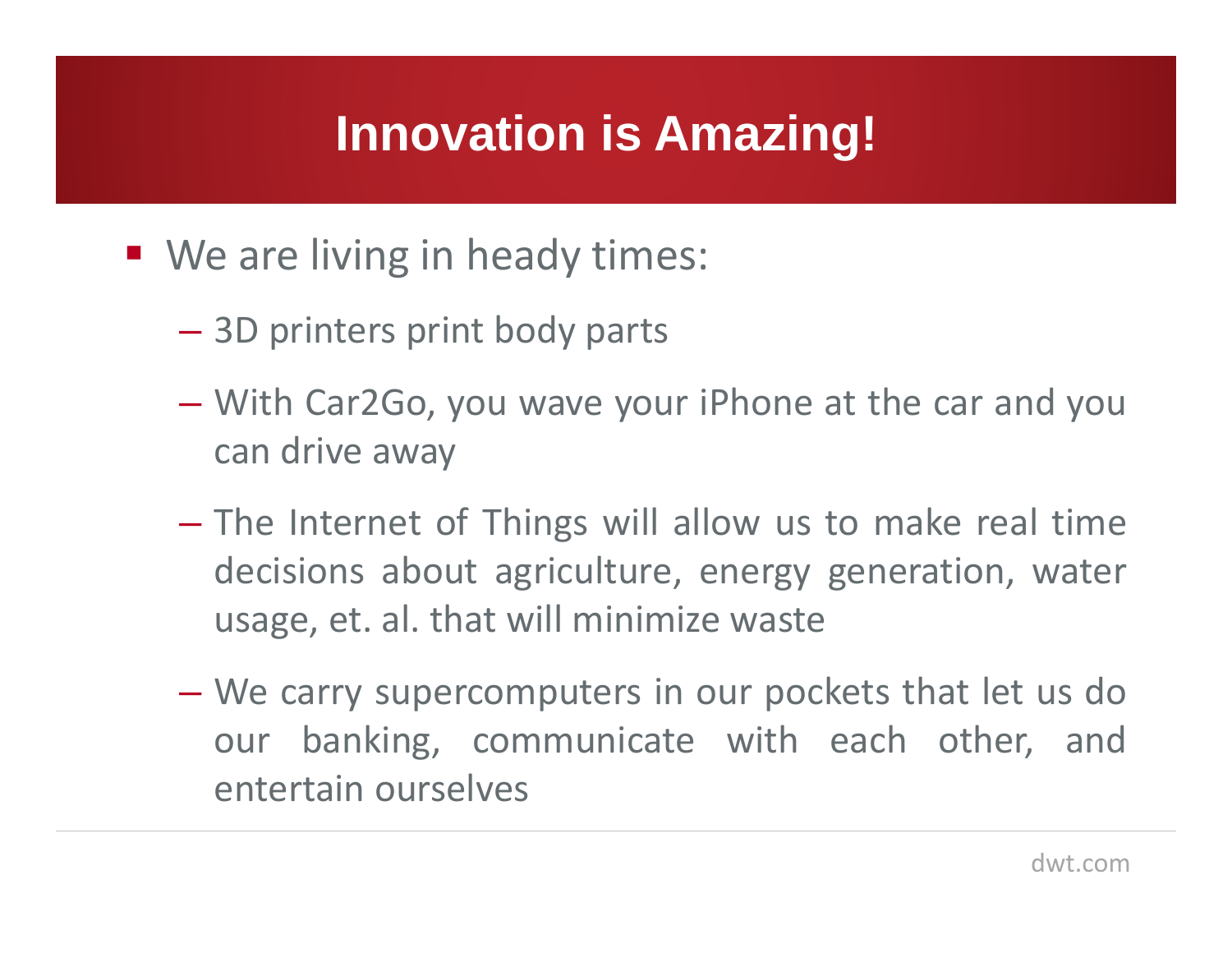#### **Innovation is Amazing!**

- We are living in heady times:
	- $\mathcal{L}_{\mathcal{A}}$  , and the set of the set of the set of the set of the set of the set of the set of the set of the set of the set of the set of the set of the set of the set of the set of the set of the set of the set of th 3D printers print body parts
	- $\mathcal{L}_{\mathcal{A}}$  , and the set of the set of the set of the set of the set of the set of the set of the set of the set of the set of the set of the set of the set of the set of the set of the set of the set of the set of th With Car2Go, you wave your iPhone at the car and you can drive away
	- $\mathcal{L}_{\mathcal{A}}$  , and the set of the set of the set of the set of the set of the set of the set of the set of the set of the set of the set of the set of the set of the set of the set of the set of the set of the set of th The Internet of Things will allow us to make real time decisions about agriculture, energy generation, water usage, et. al. that will minimize waste
	- $\mathcal{L}_{\mathcal{A}}$  , and the set of the set of the set of the set of the set of the set of the set of the set of the set of the set of the set of the set of the set of the set of the set of the set of the set of the set of th We carry supercomputers in our pockets that let us do our banking, communicate with each other, and entertain ourselves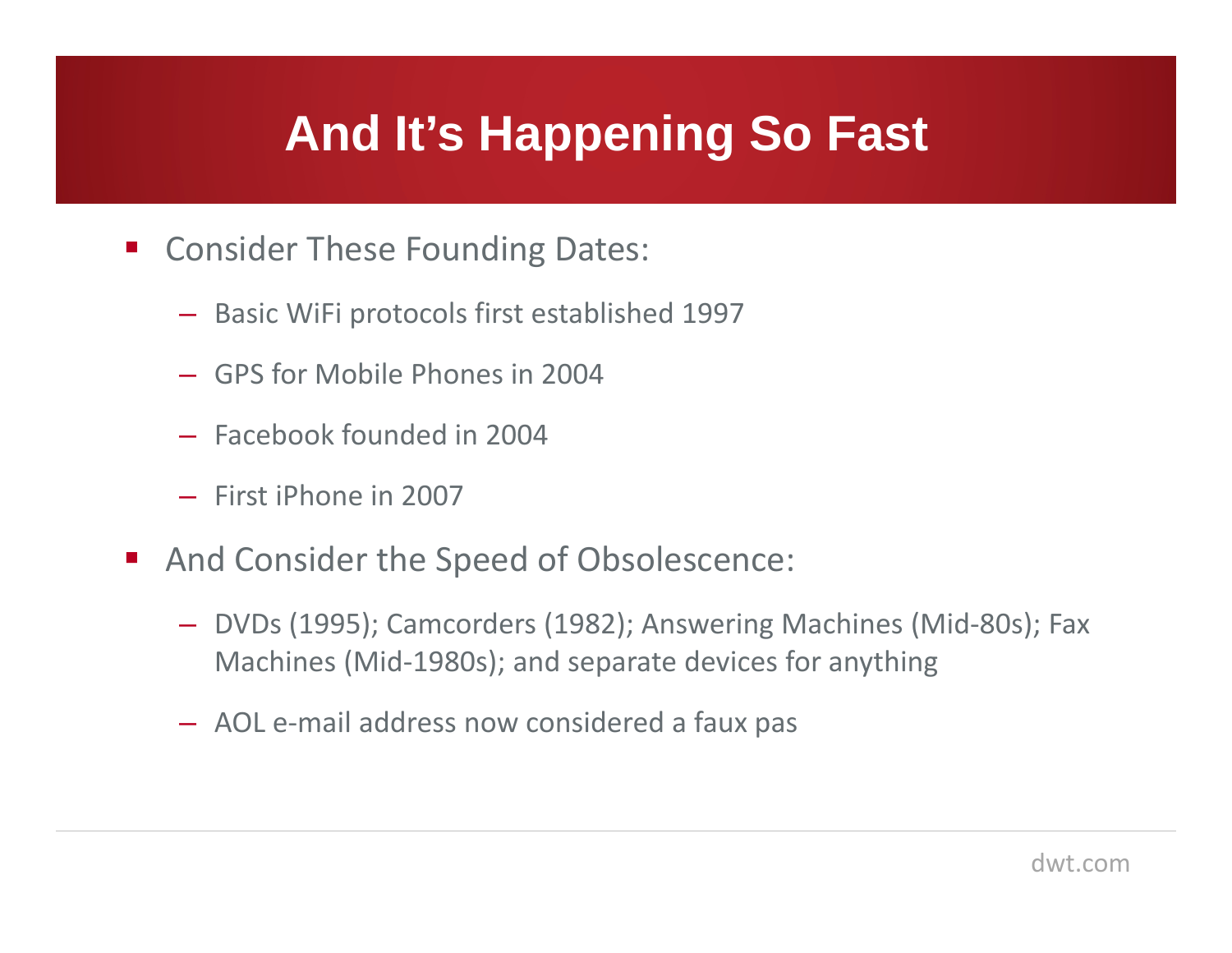#### **And It's Happening So Fast**

- **E** Consider These Founding Dates:
	- Basic WiFi protocols first established 1997
	- GPS for Mobile Phones in 2004
	- Facebook founded in 2004
	- First iPhone in 2007
- $\mathcal{L}_{\mathcal{A}}$  And Consider the Speed of Obsolescence:
	- DVDs (1995); Camcorders (1982); Answering Machines (Mid-80s); Fax Machines (Mid-1980s); and separate devices for anything
	- AOL e-mail address now considered a faux pas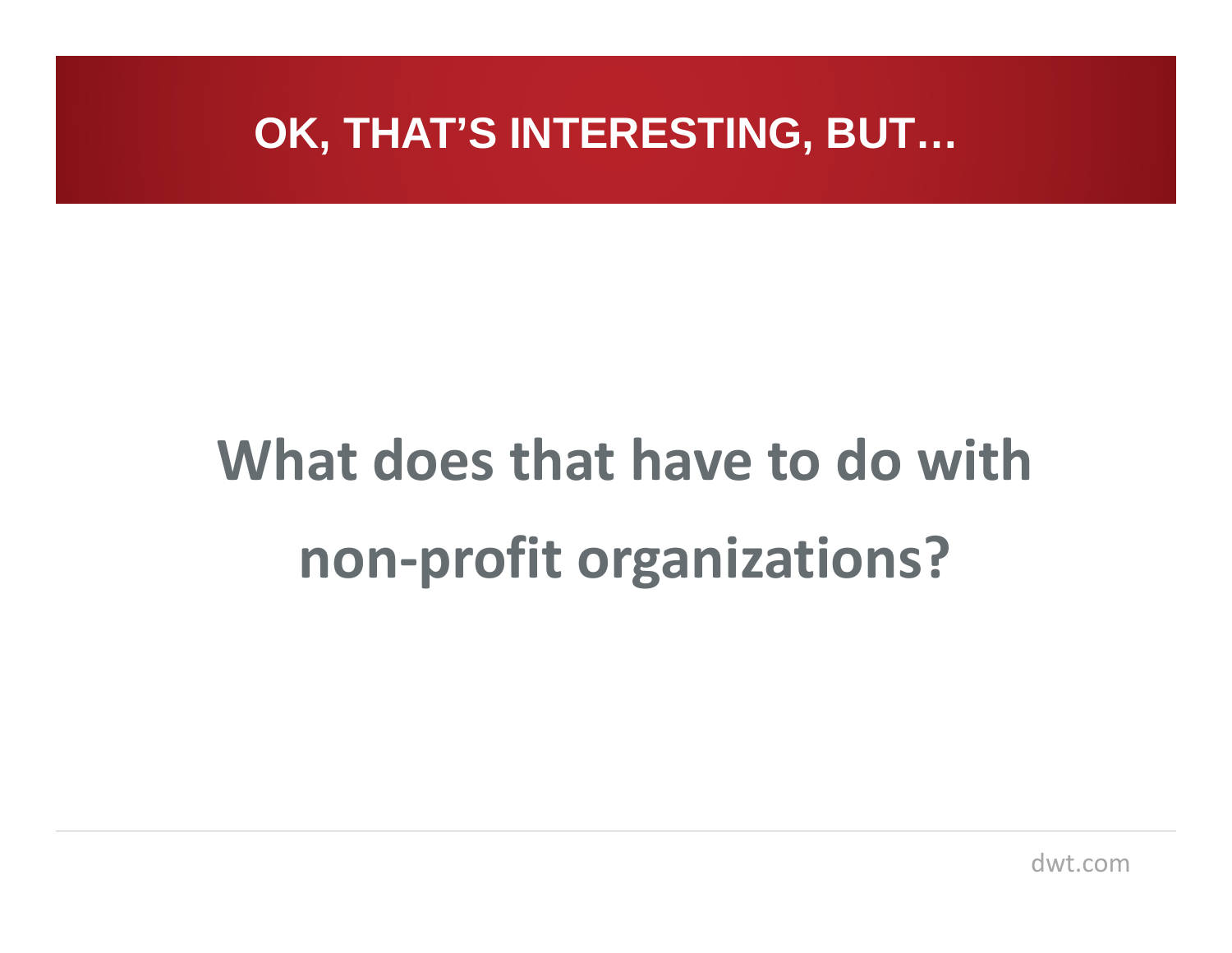#### **OK, THAT'S INTERESTING, BUT…**

# **What does that have to do with non-profit organizations?**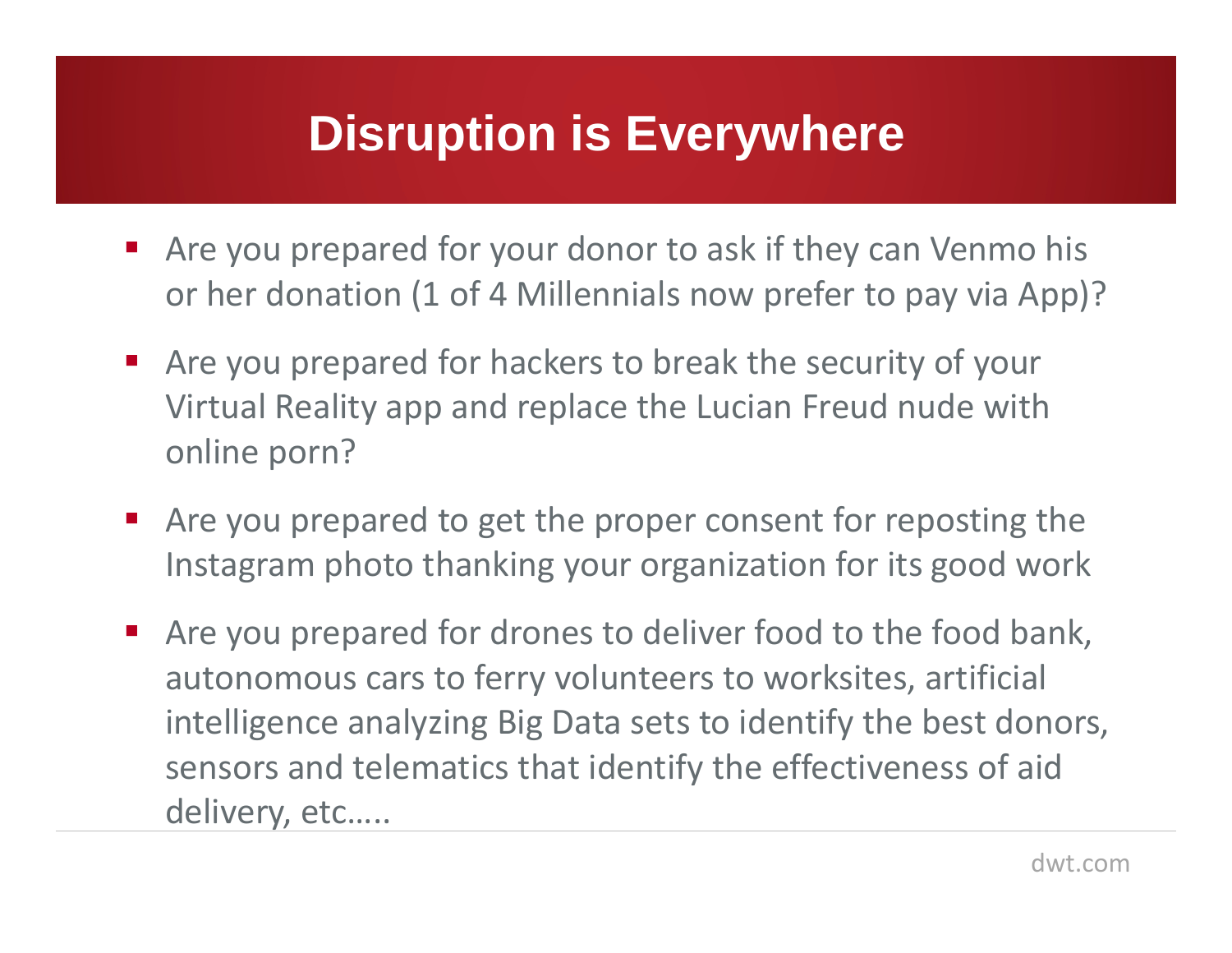#### **Disruption is Everywhere**

- Are you prepared for your donor to ask if they can Venmo his or her donation (1 of 4 Millennials now prefer to pay via App)?
- $\mathcal{L}_{\mathcal{A}}$  Are you prepared for hackers to break the security of your Virtual Reality app and replace the Lucian Freud nude with online porn?
- $\mathcal{L}_{\text{max}}$  Are you prepared to get the proper consent for reposting the Instagram photo thanking your organization for its good work
- Are you prepared for drones to deliver food to the food bank, autonomous cars to ferry volunteers to worksites, artificial intelligence analyzing Big Data sets to identify the best donors, sensors and telematics that identify the effectiveness of aid delivery, etc…..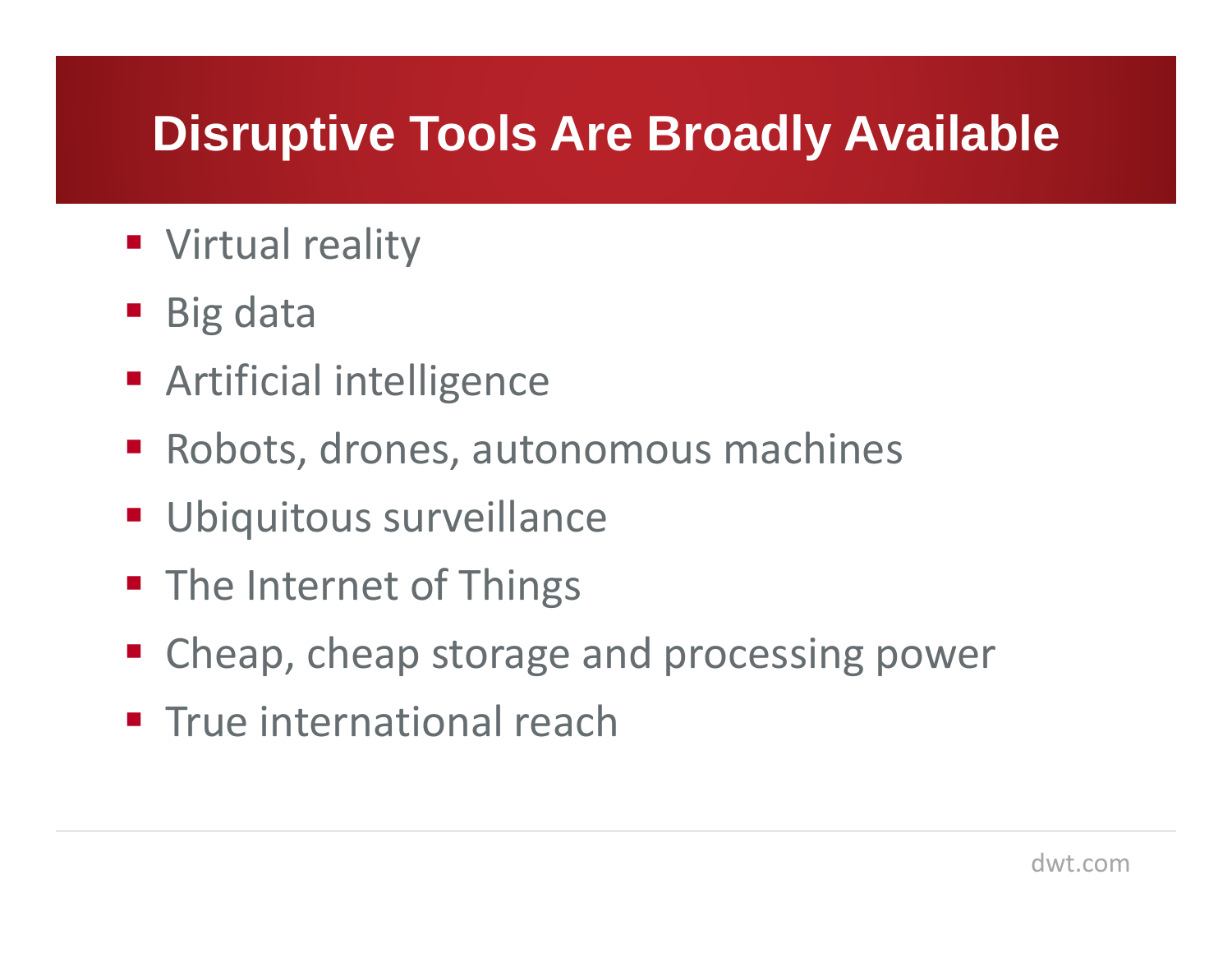#### **Disruptive Tools Are Broadly Available**

- **Virtual reality**
- Big data
- **Artificial intelligence**
- Robots, drones, autonomous machines
- **Ubiquitous surveillance**
- **The Internet of Things**
- Cheap, cheap storage and processing power
- **True international reach**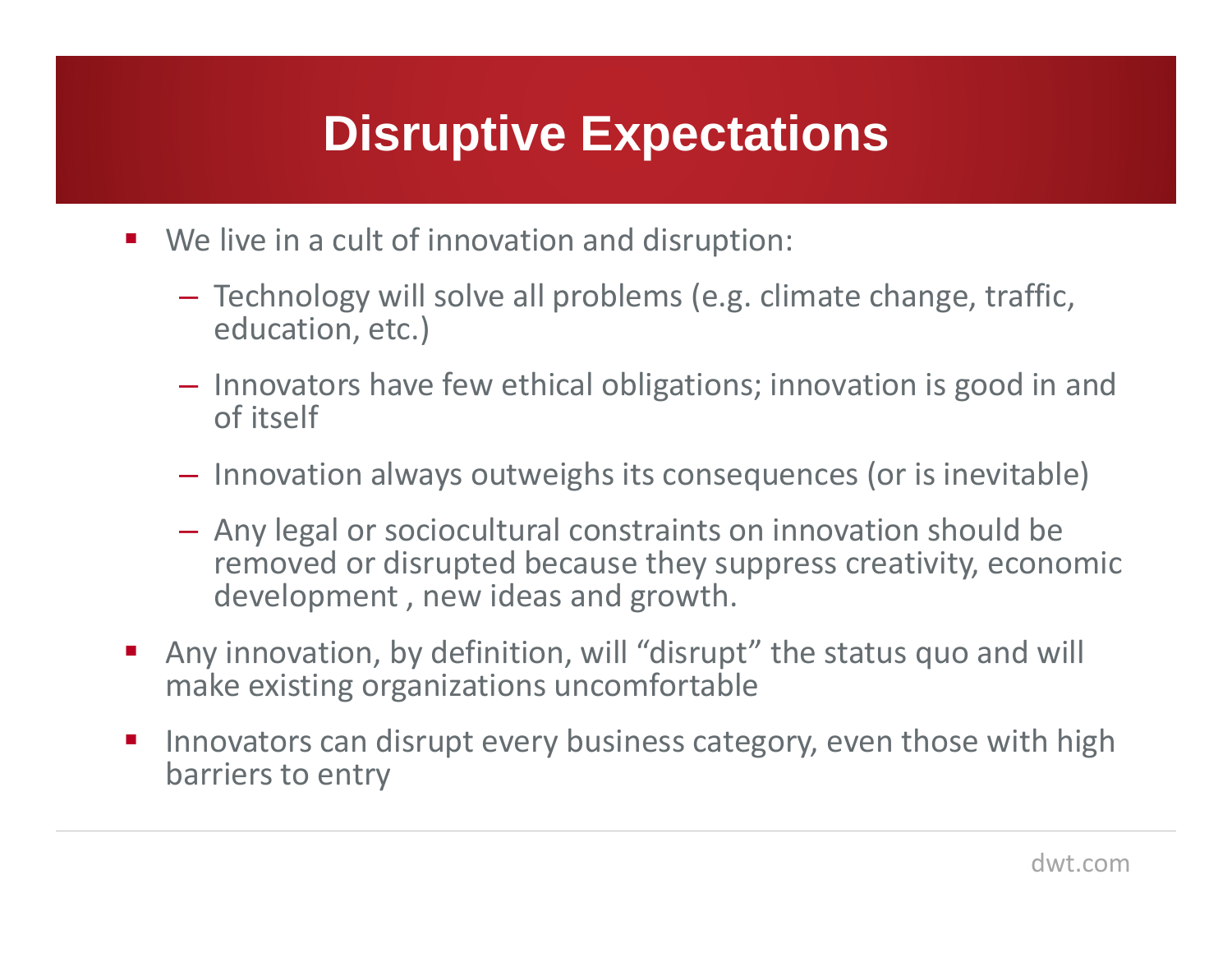#### **Disruptive Expectations**

- $\mathcal{L}^{\text{max}}$  We live in a cult of innovation and disruption:
	- Technology will solve all problems (e.g. climate change, traffic, education, etc.)
	- $-$  Innovators have few ethical obligations; innovation is good in and of itself
	- $-$  Innovation always outweighs its consequences (or is inevitable)
	- – Any legal or sociocultural constraints on innovation should be removed or disrupted because they suppress creativity, economic development , new ideas and growth.
- a<br>M Any innovation, by definition, will "disrupt" the status quo and will make existing organizations uncomfortable
- $\mathcal{L}_{\mathcal{A}}$  Innovators can disrupt every business category, even those with high barriers to entry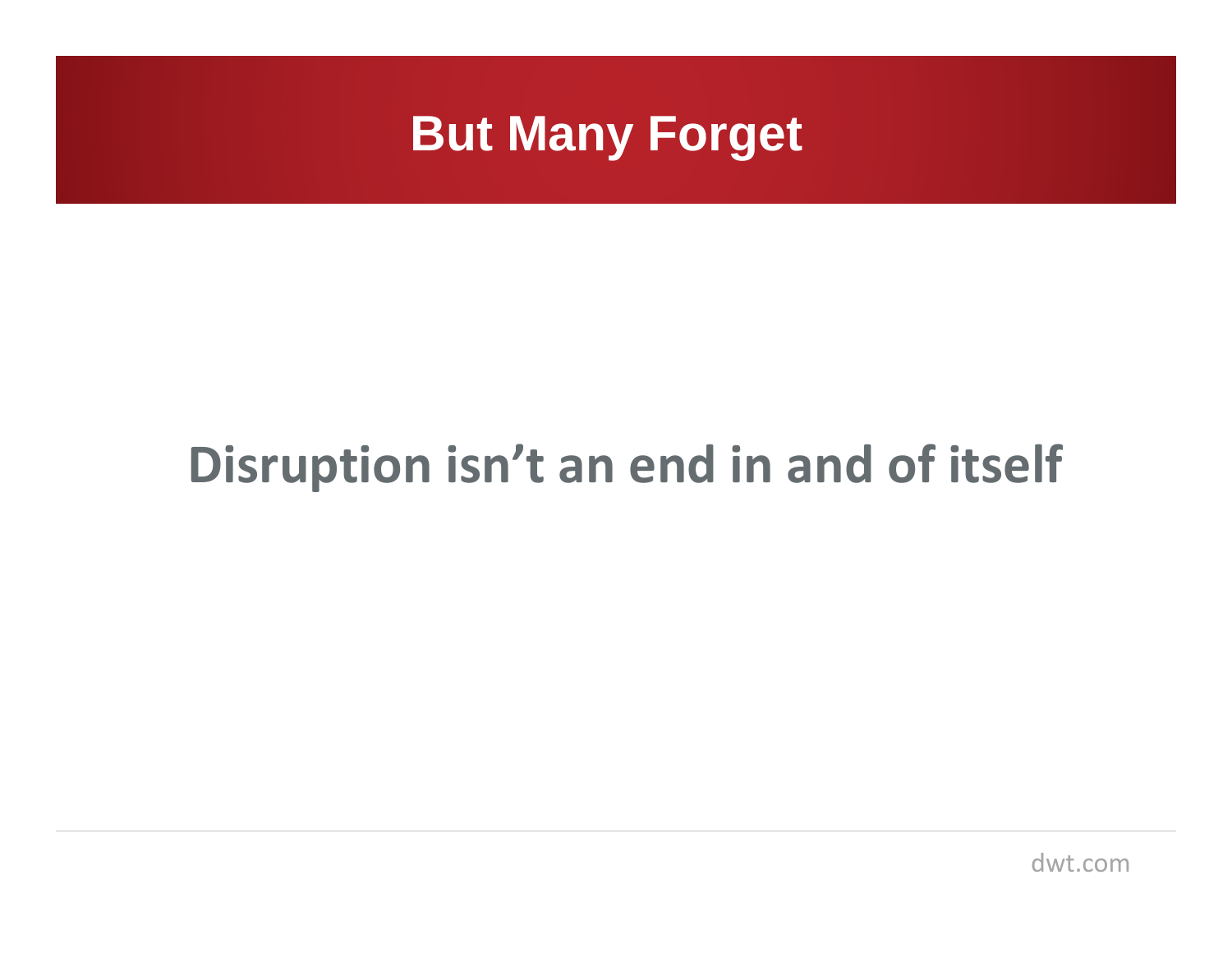

### **Disruption isn't an end in and of itself**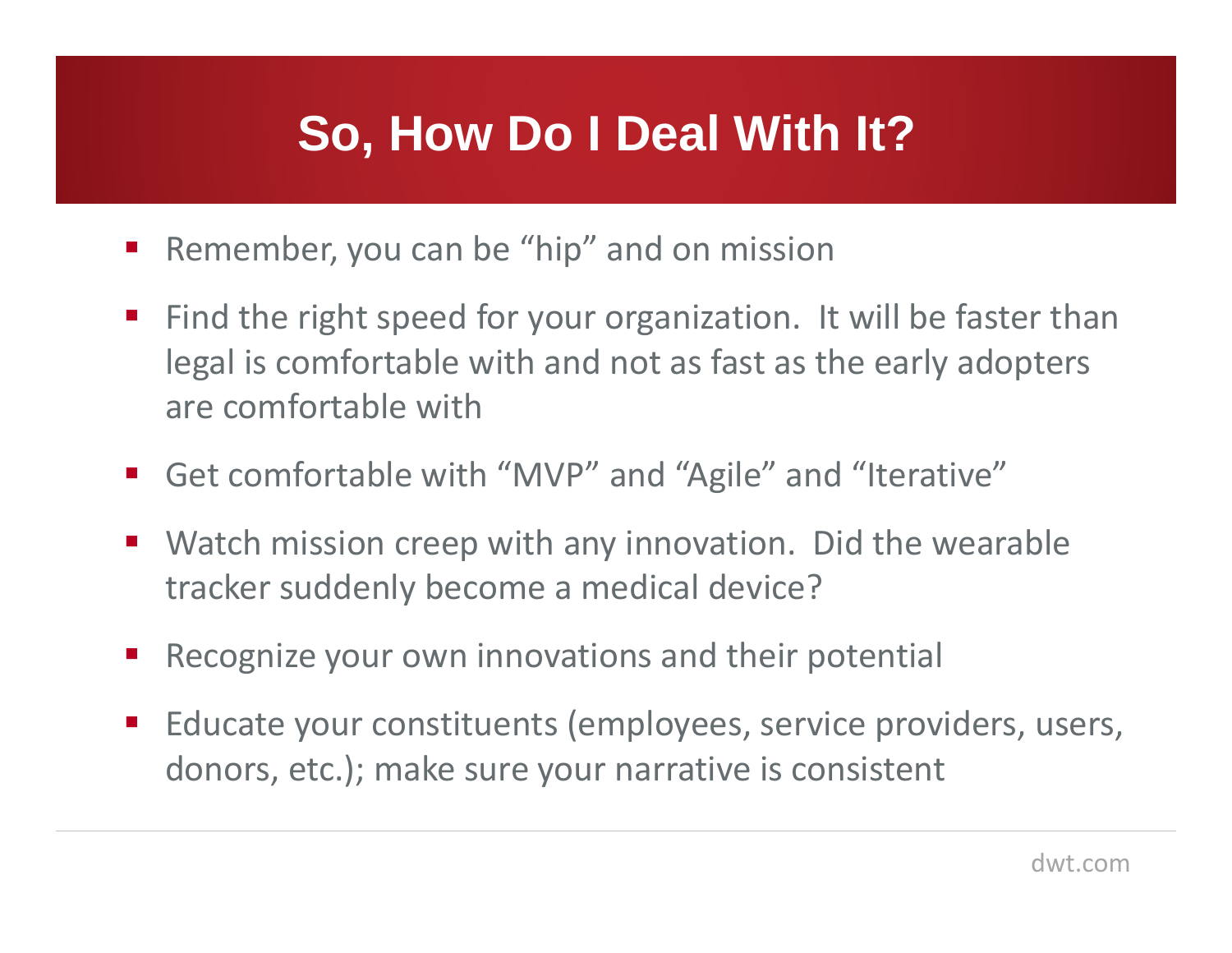#### **So, How Do I Deal With It?**

- Remember, you can be "hip" and on mission
- Find the right speed for your organization. It will be faster than legal is comfortable with and not as fast as the early adopters are comfortable with
- Get comfortable with "MVP" and "Agile" and "Iterative"
- $\mathcal{L}_{\mathcal{A}}$  Watch mission creep with any innovation. Did the wearable tracker suddenly become a medical device?
- $\mathcal{L}_{\mathcal{A}}$ Recognize your own innovations and their potential
- $\mathcal{L}_{\mathcal{A}}$  Educate your constituents (employees, service providers, users, donors, etc.); make sure your narrative is consistent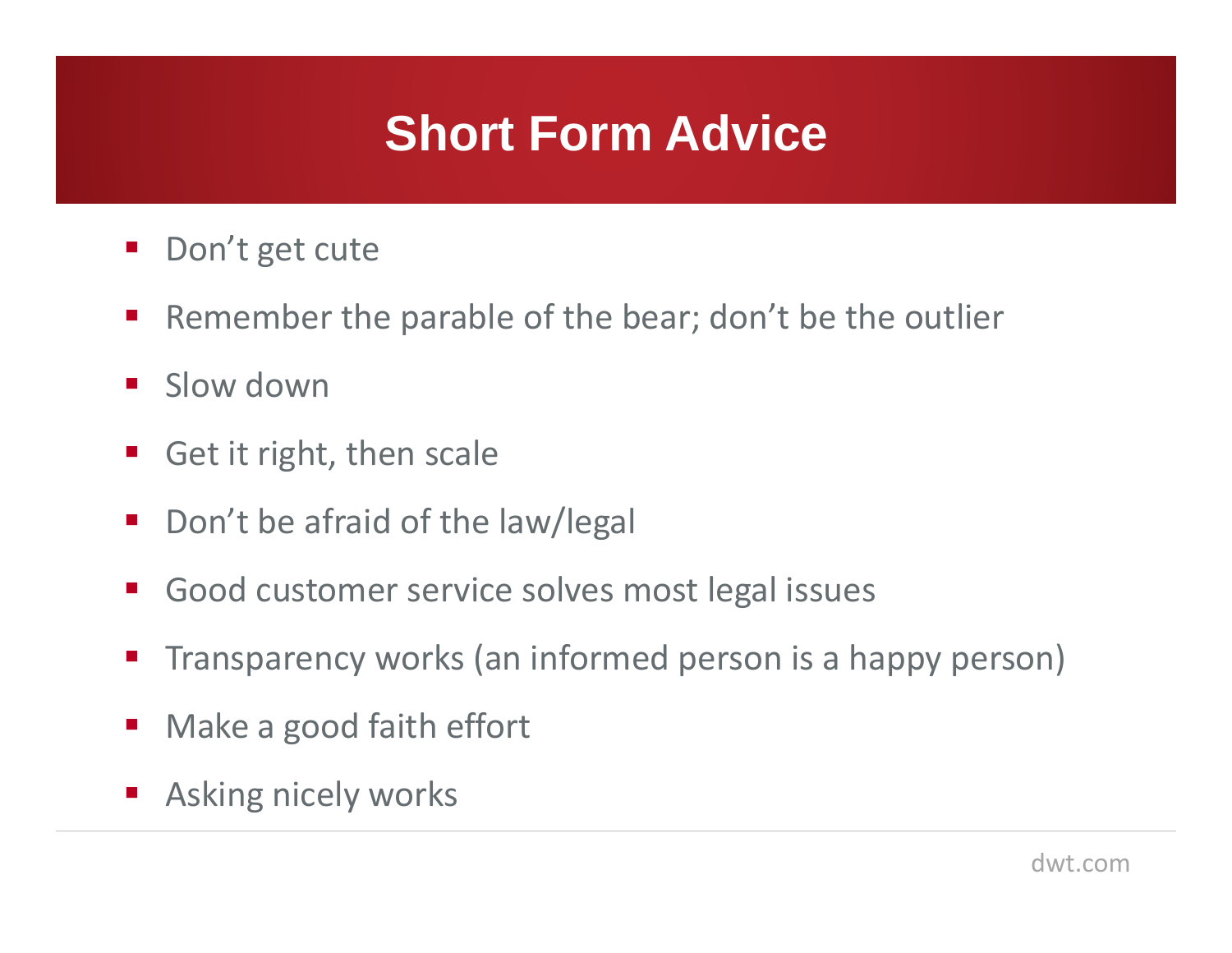#### **Short Form Advice**

- Don't get cute
- $\mathcal{L}_{\mathcal{A}}$ Remember the parable of the bear; don't be the outlier
- $\mathcal{L}_{\mathcal{A}}$ Slow down
- Get it right, then scale
- $\mathcal{L}_{\mathcal{A}}$ Don't be afraid of the law/legal
- $\mathcal{L}_{\mathcal{A}}$ Good customer service solves most legal issues
- Transparency works (an informed person is a happy person)
- $\mathcal{L}_{\mathcal{A}}$ Make a good faith effort
- **Asking nicely works**